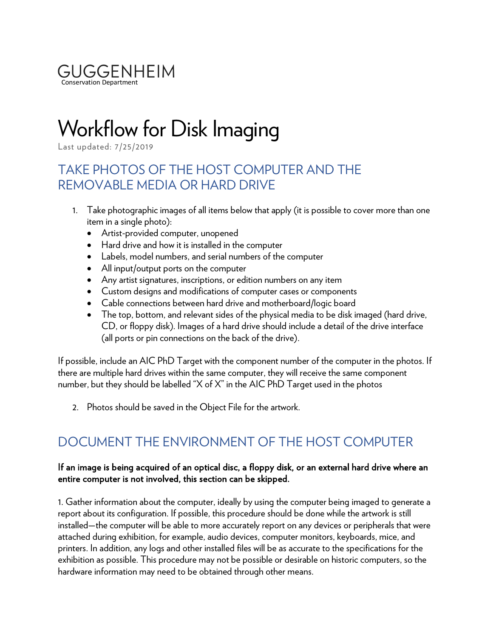

# Workflow for Disk Imaging

Last updated: 7/25/2019

## TAKE PHOTOS OF THE HOST COMPUTER AND THE REMOVABLE MEDIA OR HARD DRIVE

- 1. Take photographic images of all items below that apply (it is possible to cover more than one item in a single photo):
	- Artist-provided computer, unopened
	- Hard drive and how it is installed in the computer
	- Labels, model numbers, and serial numbers of the computer
	- All input/output ports on the computer
	- Any artist signatures, inscriptions, or edition numbers on any item
	- Custom designs and modifications of computer cases or components
	- Cable connections between hard drive and motherboard/logic board
	- The top, bottom, and relevant sides of the physical media to be disk imaged (hard drive, CD, or floppy disk). Images of a hard drive should include a detail of the drive interface (all ports or pin connections on the back of the drive).

If possible, include an AIC PhD Target with the component number of the computer in the photos. If there are multiple hard drives within the same computer, they will receive the same component number, but they should be labelled "X of X" in the AIC PhD Target used in the photos

2. Photos should be saved in the Object File for the artwork.

## DOCUMENT THE ENVIRONMENT OF THE HOST COMPUTER

#### If an image is being acquired of an optical disc, a floppy disk, or an external hard drive where an entire computer is not involved, this section can be skipped.

1. Gather information about the computer, ideally by using the computer being imaged to generate a report about its configuration. If possible, this procedure should be done while the artwork is still installed—the computer will be able to more accurately report on any devices or peripherals that were attached during exhibition, for example, audio devices, computer monitors, keyboards, mice, and printers. In addition, any logs and other installed files will be as accurate to the specifications for the exhibition as possible. This procedure may not be possible or desirable on historic computers, so the hardware information may need to be obtained through other means.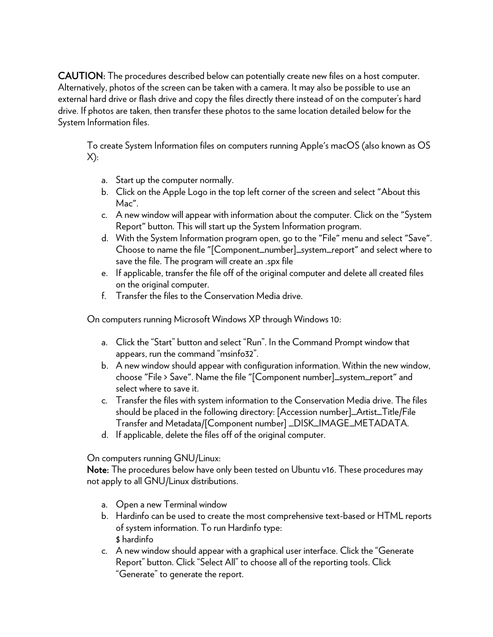CAUTION: The procedures described below can potentially create new files on a host computer. Alternatively, photos of the screen can be taken with a camera. It may also be possible to use an external hard drive or flash drive and copy the files directly there instead of on the computer's hard drive. If photos are taken, then transfer these photos to the same location detailed below for the System Information files.

To create System Information files on computers running Apple's macOS (also known as OS  $X$ :

- a. Start up the computer normally.
- b. Click on the Apple Logo in the top left corner of the screen and select "About this Mac".
- c. A new window will appear with information about the computer. Click on the "System Report" button. This will start up the System Information program.
- d. With the System Information program open, go to the "File" menu and select "Save". Choose to name the file "[Component\_number]\_system\_report" and select where to save the file. The program will create an .spx file
- e. If applicable, transfer the file off of the original computer and delete all created files on the original computer.
- f. Transfer the files to the Conservation Media drive.

On computers running Microsoft Windows XP through Windows 10:

- a. Click the "Start" button and select "Run". In the Command Prompt window that appears, run the command "msinfo32".
- b. A new window should appear with configuration information. Within the new window, choose "File > Save". Name the file "[Component number]\_system\_report" and select where to save it.
- c. Transfer the files with system information to the Conservation Media drive. The files should be placed in the following directory: [Accession number]\_Artist\_Title/File Transfer and Metadata/[Component number] \_DISK\_IMAGE\_METADATA.
- d. If applicable, delete the files off of the original computer.

On computers running GNU/Linux:

Note: The procedures below have only been tested on Ubuntu v16. These procedures may not apply to all GNU/Linux distributions.

- a. Open a new Terminal window
- b. Hardinfo can be used to create the most comprehensive text-based or HTML reports of system information. To run Hardinfo type: \$ hardinfo
- c. A new window should appear with a graphical user interface. Click the "Generate Report" button. Click "Select All" to choose all of the reporting tools. Click "Generate" to generate the report.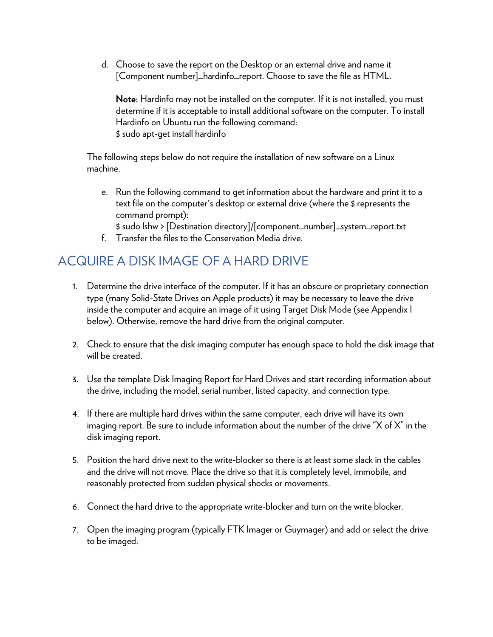d. Choose to save the report on the Desktop or an external drive and name it [Component number]\_hardinfo\_report. Choose to save the file as HTML.

Note: Hardinfo may not be installed on the computer. If it is not installed, you must determine if it is acceptable to install additional software on the computer. To install Hardinfo on Ubuntu run the following command: \$ sudo apt-get install hardinfo

The following steps below do not require the installation of new software on a Linux machine.

- e. Run the following command to get information about the hardware and print it to a text file on the computer's desktop or external drive (where the \$ represents the command prompt):
	- \$ sudo lshw > [Destination directory]/[component\_number]\_system\_report.txt
- f. Transfer the files to the Conservation Media drive.

## ACQUIRE A DISK IMAGE OF A HARD DRIVE

- 1. Determine the drive interface of the computer. If it has an obscure or proprietary connection type (many Solid-State Drives on Apple products) it may be necessary to leave the drive inside the computer and acquire an image of it using Target Disk Mode (see Appendix I below). Otherwise, remove the hard drive from the original computer.
- 2. Check to ensure that the disk imaging computer has enough space to hold the disk image that will be created.
- 3. Use the template Disk Imaging Report for Hard Drives and start recording information about the drive, including the model, serial number, listed capacity, and connection type.
- 4. If there are multiple hard drives within the same computer, each drive will have its own imaging report. Be sure to include information about the number of the drive "X of X" in the disk imaging report.
- 5. Position the hard drive next to the write-blocker so there is at least some slack in the cables and the drive will not move. Place the drive so that it is completely level, immobile, and reasonably protected from sudden physical shocks or movements.
- 6. Connect the hard drive to the appropriate write-blocker and turn on the write blocker.
- 7. Open the imaging program (typically FTK Imager or Guymager) and add or select the drive to be imaged.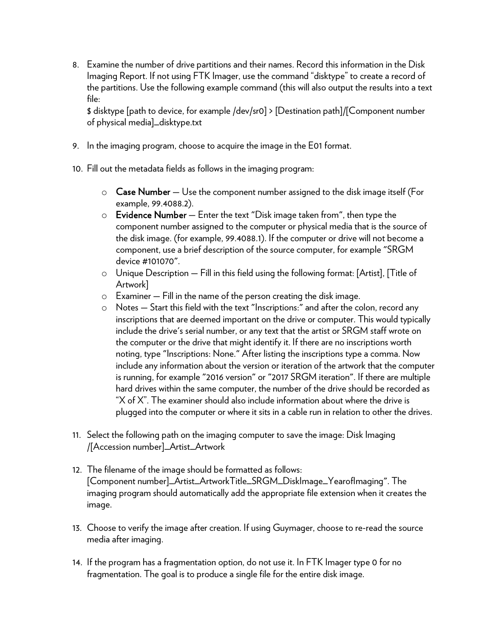8. Examine the number of drive partitions and their names. Record this information in the Disk Imaging Report. If not using FTK Imager, use the command "disktype" to create a record of the partitions. Use the following example command (this will also output the results into a text file:

\$ disktype [path to device, for example /dev/sr0] > [Destination path]/[Component number of physical media]\_disktype.txt

- 9. In the imaging program, choose to acquire the image in the E01 format.
- 10. Fill out the metadata fields as follows in the imaging program:
	- $\circ$  Case Number Use the component number assigned to the disk image itself (For example, 99.4088.2).
	- $\circ$  Evidence Number  $-$  Enter the text "Disk image taken from", then type the component number assigned to the computer or physical media that is the source of the disk image. (for example, 99.4088.1). If the computer or drive will not become a component, use a brief description of the source computer, for example "SRGM device #101070".
	- o Unique Description Fill in this field using the following format: [Artist], [Title of Artwork]
	- o Examiner Fill in the name of the person creating the disk image.
	- o Notes Start this field with the text "Inscriptions:" and after the colon, record any inscriptions that are deemed important on the drive or computer. This would typically include the drive's serial number, or any text that the artist or SRGM staff wrote on the computer or the drive that might identify it. If there are no inscriptions worth noting, type "Inscriptions: None." After listing the inscriptions type a comma. Now include any information about the version or iteration of the artwork that the computer is running, for example "2016 version" or "2017 SRGM iteration". If there are multiple hard drives within the same computer, the number of the drive should be recorded as "X of X". The examiner should also include information about where the drive is plugged into the computer or where it sits in a cable run in relation to other the drives.
- 11. Select the following path on the imaging computer to save the image: Disk Imaging /[Accession number]\_Artist\_Artwork
- 12. The filename of the image should be formatted as follows: [Component number]\_Artist\_ArtworkTitle\_SRGM\_DiskImage\_YearofImaging". The imaging program should automatically add the appropriate file extension when it creates the image.
- 13. Choose to verify the image after creation. If using Guymager, choose to re-read the source media after imaging.
- 14. If the program has a fragmentation option, do not use it. In FTK Imager type 0 for no fragmentation. The goal is to produce a single file for the entire disk image.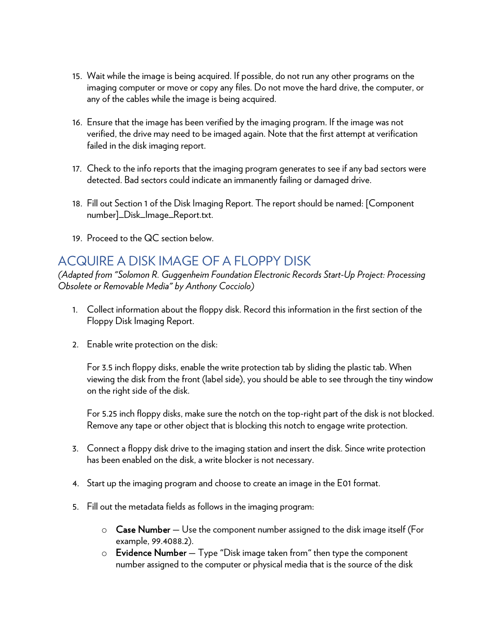- 15. Wait while the image is being acquired. If possible, do not run any other programs on the imaging computer or move or copy any files. Do not move the hard drive, the computer, or any of the cables while the image is being acquired.
- 16. Ensure that the image has been verified by the imaging program. If the image was not verified, the drive may need to be imaged again. Note that the first attempt at verification failed in the disk imaging report.
- 17. Check to the info reports that the imaging program generates to see if any bad sectors were detected. Bad sectors could indicate an immanently failing or damaged drive.
- 18. Fill out Section 1 of the Disk Imaging Report. The report should be named: [Component number]\_Disk\_Image\_Report.txt.
- 19. Proceed to the QC section below.

## ACQUIRE A DISK IMAGE OF A FLOPPY DISK

*(Adapted from "Solomon R. Guggenheim Foundation Electronic Records Start-Up Project: Processing Obsolete or Removable Media" by Anthony Cocciolo)*

- 1. Collect information about the floppy disk. Record this information in the first section of the Floppy Disk Imaging Report.
- 2. Enable write protection on the disk:

For 3.5 inch floppy disks, enable the write protection tab by sliding the plastic tab. When viewing the disk from the front (label side), you should be able to see through the tiny window on the right side of the disk.

For 5.25 inch floppy disks, make sure the notch on the top-right part of the disk is not blocked. Remove any tape or other object that is blocking this notch to engage write protection.

- 3. Connect a floppy disk drive to the imaging station and insert the disk. Since write protection has been enabled on the disk, a write blocker is not necessary.
- 4. Start up the imaging program and choose to create an image in the E01 format.
- 5. Fill out the metadata fields as follows in the imaging program:
	- $\circ$  Case Number Use the component number assigned to the disk image itself (For example, 99.4088.2).
	- $\circ$  Evidence Number Type "Disk image taken from" then type the component number assigned to the computer or physical media that is the source of the disk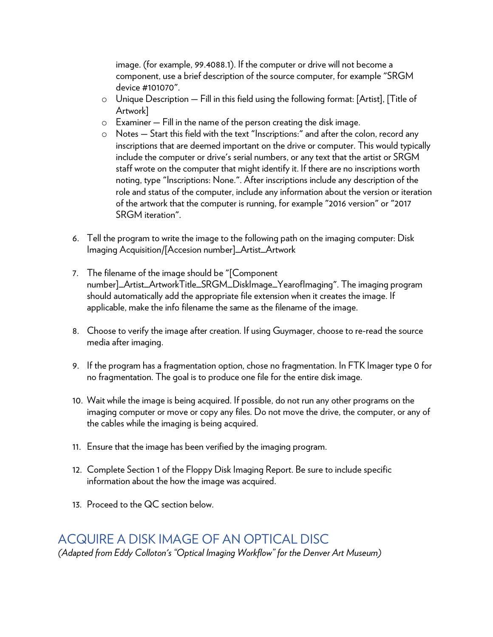image. (for example, 99.4088.1). If the computer or drive will not become a component, use a brief description of the source computer, for example "SRGM device #101070".

- $\circ$  Unique Description Fill in this field using the following format: [Artist], [Title of Artwork]
- $\circ$  Examiner  $-$  Fill in the name of the person creating the disk image.
- o Notes Start this field with the text "Inscriptions:" and after the colon, record any inscriptions that are deemed important on the drive or computer. This would typically include the computer or drive's serial numbers, or any text that the artist or SRGM staff wrote on the computer that might identify it. If there are no inscriptions worth noting, type "Inscriptions: None.". After inscriptions include any description of the role and status of the computer, include any information about the version or iteration of the artwork that the computer is running, for example "2016 version" or "2017 SRGM iteration".
- 6. Tell the program to write the image to the following path on the imaging computer: Disk Imaging Acquisition/[Accesion number]\_Artist\_Artwork
- 7. The filename of the image should be "[Component number]\_Artist\_ArtworkTitle\_SRGM\_DiskImage\_YearofImaging". The imaging program should automatically add the appropriate file extension when it creates the image. If applicable, make the info filename the same as the filename of the image.
- 8. Choose to verify the image after creation. If using Guymager, choose to re-read the source media after imaging.
- 9. If the program has a fragmentation option, chose no fragmentation. In FTK Imager type 0 for no fragmentation. The goal is to produce one file for the entire disk image.
- 10. Wait while the image is being acquired. If possible, do not run any other programs on the imaging computer or move or copy any files. Do not move the drive, the computer, or any of the cables while the imaging is being acquired.
- 11. Ensure that the image has been verified by the imaging program.
- 12. Complete Section 1 of the Floppy Disk Imaging Report. Be sure to include specific information about the how the image was acquired.
- 13. Proceed to the QC section below.

### ACQUIRE A DISK IMAGE OF AN OPTICAL DISC

*(Adapted from Eddy Colloton's "Optical Imaging Workflow" for the Denver Art Museum)*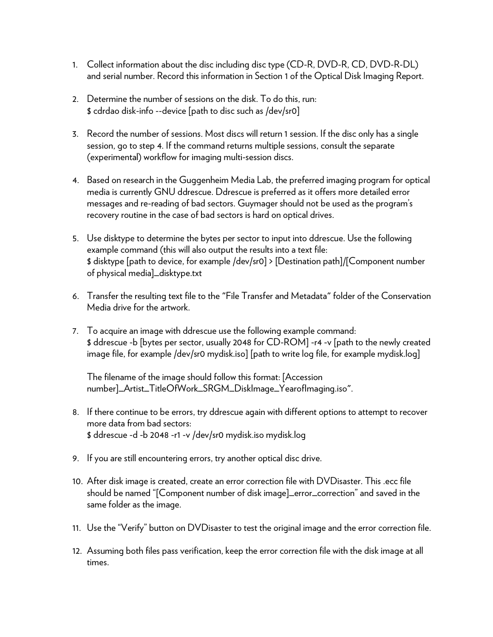- 1. Collect information about the disc including disc type (CD-R, DVD-R, CD, DVD-R-DL) and serial number. Record this information in Section 1 of the Optical Disk Imaging Report.
- 2. Determine the number of sessions on the disk. To do this, run: \$ cdrdao disk-info --device [path to disc such as /dev/sr0]
- 3. Record the number of sessions. Most discs will return 1 session. If the disc only has a single session, go to step 4. If the command returns multiple sessions, consult the separate (experimental) workflow for imaging multi-session discs.
- 4. Based on research in the Guggenheim Media Lab, the preferred imaging program for optical media is currently GNU ddrescue. Ddrescue is preferred as it offers more detailed error messages and re-reading of bad sectors. Guymager should not be used as the program's recovery routine in the case of bad sectors is hard on optical drives.
- 5. Use disktype to determine the bytes per sector to input into ddrescue. Use the following example command (this will also output the results into a text file: \$ disktype [path to device, for example /dev/sr0] > [Destination path]/[Component number of physical media]\_disktype.txt
- 6. Transfer the resulting text file to the "File Transfer and Metadata" folder of the Conservation Media drive for the artwork.
- 7. To acquire an image with ddrescue use the following example command: \$ ddrescue -b [bytes per sector, usually 2048 for CD-ROM] -r4 -v [path to the newly created image file, for example /dev/sr0 mydisk.iso] [path to write log file, for example mydisk.log]

The filename of the image should follow this format: [Accession number]\_Artist\_TitleOfWork\_SRGM\_DiskImage\_YearofImaging.iso".

- 8. If there continue to be errors, try ddrescue again with different options to attempt to recover more data from bad sectors: \$ ddrescue -d -b 2048 -r1 -v /dev/sr0 mydisk.iso mydisk.log
- 9. If you are still encountering errors, try another optical disc drive.
- 10. After disk image is created, create an error correction file with DVDisaster. This .ecc file should be named "[Component number of disk image]\_error\_correction" and saved in the same folder as the image.
- 11. Use the "Verify" button on DVDisaster to test the original image and the error correction file.
- 12. Assuming both files pass verification, keep the error correction file with the disk image at all times.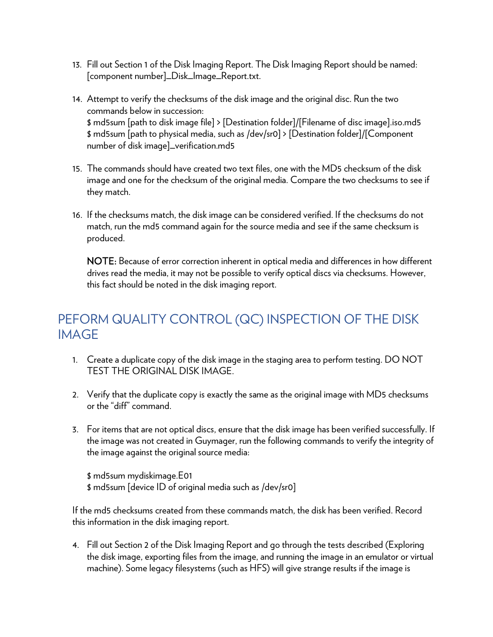- 13. Fill out Section 1 of the Disk Imaging Report. The Disk Imaging Report should be named: [component number]\_Disk\_Image\_Report.txt.
- 14. Attempt to verify the checksums of the disk image and the original disc. Run the two commands below in succession: \$ md5sum [path to disk image file] > [Destination folder]/[Filename of disc image].iso.md5 \$ md5sum [path to physical media, such as /dev/sr0] > [Destination folder]/[Component number of disk image]\_verification.md5
- 15. The commands should have created two text files, one with the MD5 checksum of the disk image and one for the checksum of the original media. Compare the two checksums to see if they match.
- 16. If the checksums match, the disk image can be considered verified. If the checksums do not match, run the md5 command again for the source media and see if the same checksum is produced.

NOTE: Because of error correction inherent in optical media and differences in how different drives read the media, it may not be possible to verify optical discs via checksums. However, this fact should be noted in the disk imaging report.

## PEFORM QUALITY CONTROL (QC) INSPECTION OF THE DISK IMAGE

- 1. Create a duplicate copy of the disk image in the staging area to perform testing. DO NOT TEST THE ORIGINAL DISK IMAGE.
- 2. Verify that the duplicate copy is exactly the same as the original image with MD5 checksums or the "diff" command.
- 3. For items that are not optical discs, ensure that the disk image has been verified successfully. If the image was not created in Guymager, run the following commands to verify the integrity of the image against the original source media:

\$ md5sum mydiskimage.E01 \$ md5sum [device ID of original media such as /dev/sr0]

If the md5 checksums created from these commands match, the disk has been verified. Record this information in the disk imaging report.

4. Fill out Section 2 of the Disk Imaging Report and go through the tests described (Exploring the disk image, exporting files from the image, and running the image in an emulator or virtual machine). Some legacy filesystems (such as HFS) will give strange results if the image is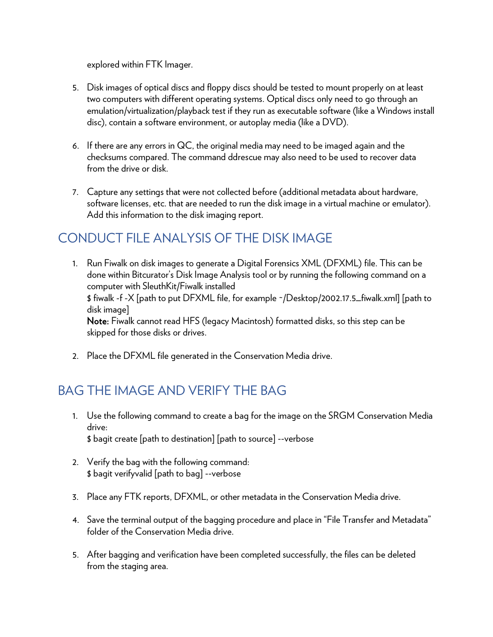explored within FTK Imager.

- 5. Disk images of optical discs and floppy discs should be tested to mount properly on at least two computers with different operating systems. Optical discs only need to go through an emulation/virtualization/playback test if they run as executable software (like a Windows install disc), contain a software environment, or autoplay media (like a DVD).
- 6. If there are any errors in QC, the original media may need to be imaged again and the checksums compared. The command ddrescue may also need to be used to recover data from the drive or disk.
- 7. Capture any settings that were not collected before (additional metadata about hardware, software licenses, etc. that are needed to run the disk image in a virtual machine or emulator). Add this information to the disk imaging report.

## CONDUCT FILE ANALYSIS OF THE DISK IMAGE

- 1. Run Fiwalk on disk images to generate a Digital Forensics XML (DFXML) file. This can be done within Bitcurator's Disk Image Analysis tool or by running the following command on a computer with SleuthKit/Fiwalk installed \$ fiwalk -f -X [path to put DFXML file, for example ~/Desktop/2002.17.5\_fiwalk.xml] [path to disk image] Note: Fiwalk cannot read HFS (legacy Macintosh) formatted disks, so this step can be skipped for those disks or drives.
- 2. Place the DFXML file generated in the Conservation Media drive.

## BAG THE IMAGE AND VERIFY THE BAG

- 1. Use the following command to create a bag for the image on the SRGM Conservation Media drive: \$ bagit create [path to destination] [path to source] --verbose
- 2. Verify the bag with the following command: \$ bagit verifyvalid [path to bag] --verbose
- 3. Place any FTK reports, DFXML, or other metadata in the Conservation Media drive.
- 4. Save the terminal output of the bagging procedure and place in "File Transfer and Metadata" folder of the Conservation Media drive.
- 5. After bagging and verification have been completed successfully, the files can be deleted from the staging area.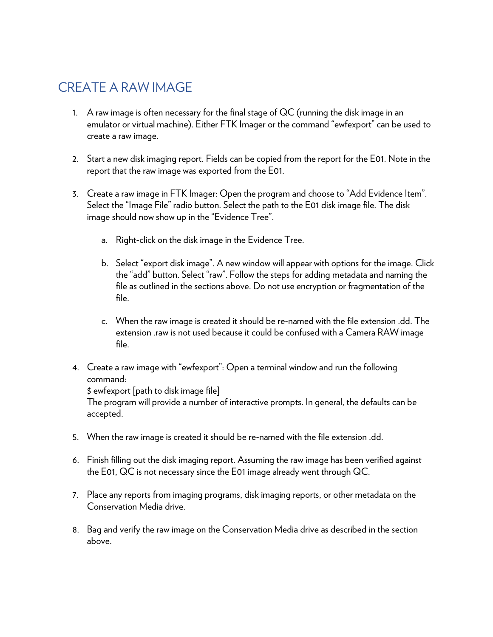## CREATE A RAW IMAGE

- 1. A raw image is often necessary for the final stage of QC (running the disk image in an emulator or virtual machine). Either FTK Imager or the command "ewfexport" can be used to create a raw image.
- 2. Start a new disk imaging report. Fields can be copied from the report for the E01. Note in the report that the raw image was exported from the E01.
- 3. Create a raw image in FTK Imager: Open the program and choose to "Add Evidence Item". Select the "Image File" radio button. Select the path to the E01 disk image file. The disk image should now show up in the "Evidence Tree".
	- a. Right-click on the disk image in the Evidence Tree.
	- b. Select "export disk image". A new window will appear with options for the image. Click the "add" button. Select "raw". Follow the steps for adding metadata and naming the file as outlined in the sections above. Do not use encryption or fragmentation of the file.
	- c. When the raw image is created it should be re-named with the file extension .dd. The extension .raw is not used because it could be confused with a Camera RAW image file.
- 4. Create a raw image with "ewfexport": Open a terminal window and run the following command:

\$ ewfexport [path to disk image file]

The program will provide a number of interactive prompts. In general, the defaults can be accepted.

- 5. When the raw image is created it should be re-named with the file extension .dd.
- 6. Finish filling out the disk imaging report. Assuming the raw image has been verified against the E01, QC is not necessary since the E01 image already went through QC.
- 7. Place any reports from imaging programs, disk imaging reports, or other metadata on the Conservation Media drive.
- 8. Bag and verify the raw image on the Conservation Media drive as described in the section above.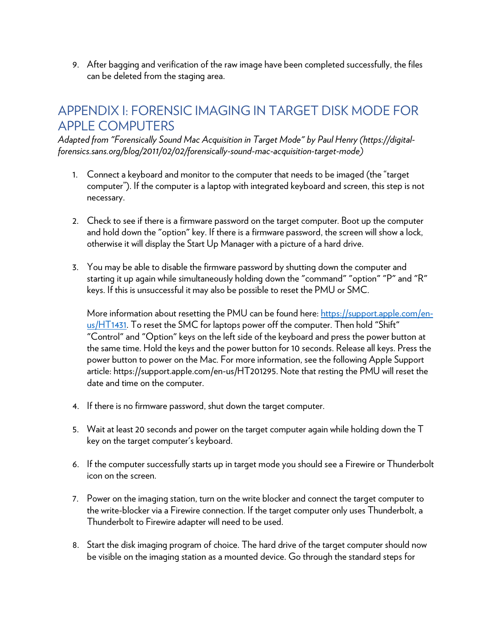9. After bagging and verification of the raw image have been completed successfully, the files can be deleted from the staging area.

## APPENDIX I: FORENSIC IMAGING IN TARGET DISK MODE FOR APPLE COMPUTERS

*Adapted from "Forensically Sound Mac Acquisition in Target Mode" by Paul Henry (https://digitalforensics.sans.org/blog/2011/02/02/forensically-sound-mac-acquisition-target-mode)*

- 1. Connect a keyboard and monitor to the computer that needs to be imaged (the "target computer"). If the computer is a laptop with integrated keyboard and screen, this step is not necessary.
- 2. Check to see if there is a firmware password on the target computer. Boot up the computer and hold down the "option" key. If there is a firmware password, the screen will show a lock, otherwise it will display the Start Up Manager with a picture of a hard drive.
- 3. You may be able to disable the firmware password by shutting down the computer and starting it up again while simultaneously holding down the "command" "option" "P" and "R" keys. If this is unsuccessful it may also be possible to reset the PMU or SMC.

More information about resetting the PMU can be found here: https://support.apple.com/enus/HT1431. To reset the SMC for laptops power off the computer. Then hold "Shift" "Control" and "Option" keys on the left side of the keyboard and press the power button at the same time. Hold the keys and the power button for 10 seconds. Release all keys. Press the power button to power on the Mac. For more information, see the following Apple Support article: https://support.apple.com/en-us/HT201295. Note that resting the PMU will reset the date and time on the computer.

- 4. If there is no firmware password, shut down the target computer.
- 5. Wait at least 20 seconds and power on the target computer again while holding down the T key on the target computer's keyboard.
- 6. If the computer successfully starts up in target mode you should see a Firewire or Thunderbolt icon on the screen.
- 7. Power on the imaging station, turn on the write blocker and connect the target computer to the write-blocker via a Firewire connection. If the target computer only uses Thunderbolt, a Thunderbolt to Firewire adapter will need to be used.
- 8. Start the disk imaging program of choice. The hard drive of the target computer should now be visible on the imaging station as a mounted device. Go through the standard steps for